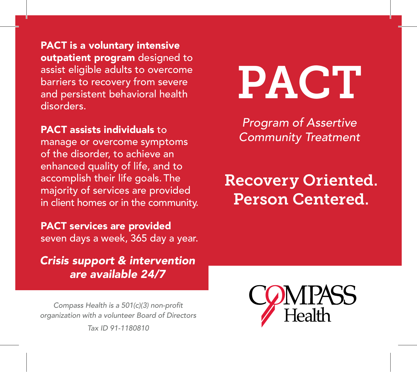PACT is a voluntary intensive outpatient program designed to assist eligible adults to overcome barriers to recovery from severe and persistent behavioral health disorders.

### PACT assists individuals to

manage or overcome symptoms of the disorder, to achieve an enhanced quality of life, and to accomplish their life goals. The majority of services are provided in client homes or in the community.

### PACT services are provided seven days a week, 365 day a year.

*Crisis support & intervention are available 24/7*

Compass Health is a 501(c)(3) non-profit *organization with a volunteer Board of Directors*

*Tax ID 91-1180810*



*Program of Assertive Community Treatment*

# Recovery Oriented. Person Centered.